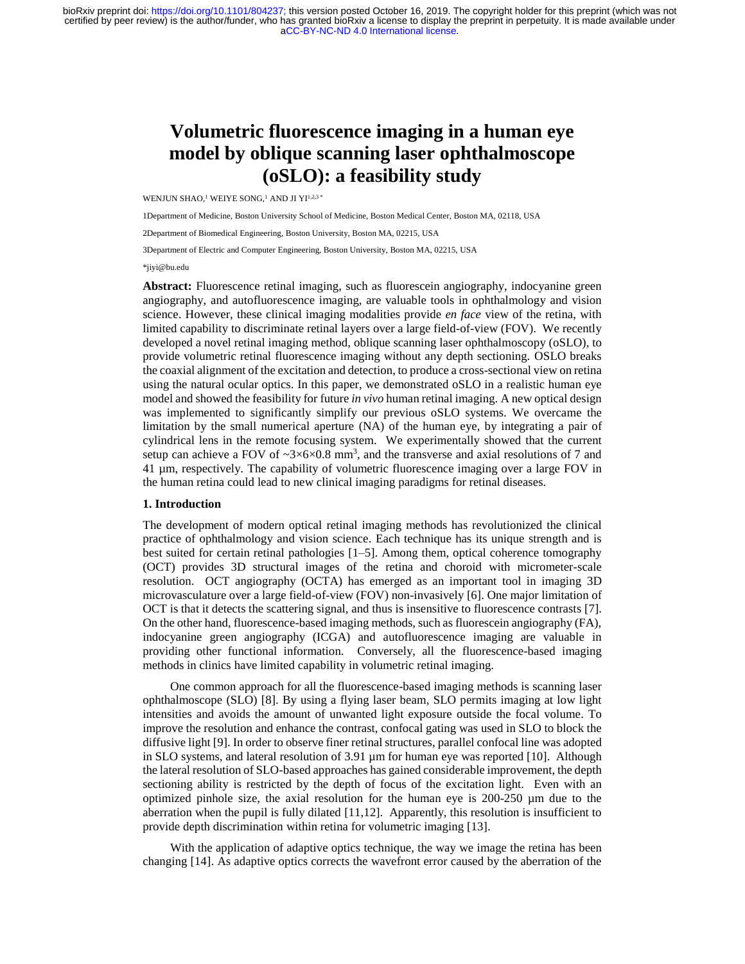[aCC-BY-NC-ND 4.0 International license.](http://creativecommons.org/licenses/by-nc-nd/4.0/) certified by peer review) is the author/funder, who has granted bioRxiv a license to display the preprint in perpetuity. It is made available under bioRxiv preprint doi: [https://doi.org/10.1101/804237;](https://doi.org/10.1101/804237) this version posted October 16, 2019. The copyright holder for this preprint (which was not

# **Volumetric fluorescence imaging in a human eye model by oblique scanning laser ophthalmoscope (oSLO): a feasibility study**

WENJUN SHAO,<sup>1</sup> WEIYE SONG,<sup>1</sup> AND JI YI<sup>1,2,3</sup> \*

1Department of Medicine, Boston University School of Medicine, Boston Medical Center, Boston MA, 02118, USA

2Department of Biomedical Engineering, Boston University, Boston MA, 02215, USA

3Department of Electric and Computer Engineering, Boston University, Boston MA, 02215, USA

\*jiyi@bu.edu

**Abstract:** Fluorescence retinal imaging, such as fluorescein angiography, indocyanine green angiography, and autofluorescence imaging, are valuable tools in ophthalmology and vision science. However, these clinical imaging modalities provide *en face* view of the retina, with limited capability to discriminate retinal layers over a large field-of-view (FOV). We recently developed a novel retinal imaging method, oblique scanning laser ophthalmoscopy (oSLO), to provide volumetric retinal fluorescence imaging without any depth sectioning. OSLO breaks the coaxial alignment of the excitation and detection, to produce a cross-sectional view on retina using the natural ocular optics. In this paper, we demonstrated oSLO in a realistic human eye model and showed the feasibility for future *in vivo* human retinal imaging. A new optical design was implemented to significantly simplify our previous oSLO systems. We overcame the limitation by the small numerical aperture (NA) of the human eye, by integrating a pair of cylindrical lens in the remote focusing system. We experimentally showed that the current setup can achieve a FOV of  $\sim 3\times 6\times 0.8$  mm<sup>3</sup>, and the transverse and axial resolutions of 7 and 41 µm, respectively. The capability of volumetric fluorescence imaging over a large FOV in the human retina could lead to new clinical imaging paradigms for retinal diseases.

### **1. Introduction**

The development of modern optical retinal imaging methods has revolutionized the clinical practice of ophthalmology and vision science. Each technique has its unique strength and is best suited for certain retinal pathologies [1–5]. Among them, optical coherence tomography (OCT) provides 3D structural images of the retina and choroid with micrometer-scale resolution. OCT angiography (OCTA) has emerged as an important tool in imaging 3D microvasculature over a large field-of-view (FOV) non-invasively [6]. One major limitation of OCT is that it detects the scattering signal, and thus is insensitive to fluorescence contrasts [7]. On the other hand, fluorescence-based imaging methods, such as fluorescein angiography (FA), indocyanine green angiography (ICGA) and autofluorescence imaging are valuable in providing other functional information. Conversely, all the fluorescence-based imaging methods in clinics have limited capability in volumetric retinal imaging.

One common approach for all the fluorescence-based imaging methods is scanning laser ophthalmoscope (SLO) [8]. By using a flying laser beam, SLO permits imaging at low light intensities and avoids the amount of unwanted light exposure outside the focal volume. To improve the resolution and enhance the contrast, confocal gating was used in SLO to block the diffusive light [9]. In order to observe finer retinal structures, parallel confocal line was adopted in SLO systems, and lateral resolution of 3.91 µm for human eye was reported [10]. Although the lateral resolution of SLO-based approaches has gained considerable improvement, the depth sectioning ability is restricted by the depth of focus of the excitation light. Even with an optimized pinhole size, the axial resolution for the human eye is 200-250 µm due to the aberration when the pupil is fully dilated [11,12]. Apparently, this resolution is insufficient to provide depth discrimination within retina for volumetric imaging [13].

With the application of adaptive optics technique, the way we image the retina has been changing [14]. As adaptive optics corrects the wavefront error caused by the aberration of the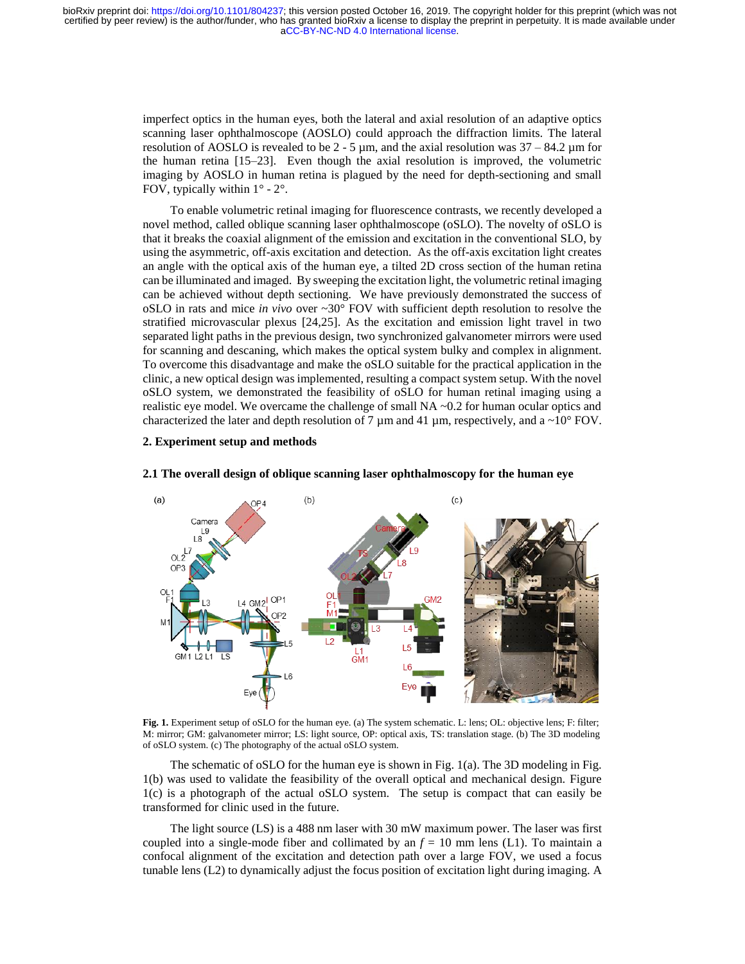imperfect optics in the human eyes, both the lateral and axial resolution of an adaptive optics scanning laser ophthalmoscope (AOSLO) could approach the diffraction limits. The lateral resolution of AOSLO is revealed to be  $2 - 5 \mu m$ , and the axial resolution was  $37 - 84.2 \mu m$  for the human retina [15–23]. Even though the axial resolution is improved, the volumetric imaging by AOSLO in human retina is plagued by the need for depth-sectioning and small FOV, typically within  $1^{\circ}$  -  $2^{\circ}$ .

To enable volumetric retinal imaging for fluorescence contrasts, we recently developed a novel method, called oblique scanning laser ophthalmoscope (oSLO). The novelty of oSLO is that it breaks the coaxial alignment of the emission and excitation in the conventional SLO, by using the asymmetric, off-axis excitation and detection. As the off-axis excitation light creates an angle with the optical axis of the human eye, a tilted 2D cross section of the human retina can be illuminated and imaged. By sweeping the excitation light, the volumetric retinal imaging can be achieved without depth sectioning. We have previously demonstrated the success of oSLO in rats and mice *in vivo* over ~30° FOV with sufficient depth resolution to resolve the stratified microvascular plexus [24,25]. As the excitation and emission light travel in two separated light paths in the previous design, two synchronized galvanometer mirrors were used for scanning and descaning, which makes the optical system bulky and complex in alignment. To overcome this disadvantage and make the oSLO suitable for the practical application in the clinic, a new optical design was implemented, resulting a compact system setup. With the novel oSLO system, we demonstrated the feasibility of oSLO for human retinal imaging using a realistic eye model. We overcame the challenge of small  $NA \sim 0.2$  for human ocular optics and characterized the later and depth resolution of 7  $\mu$ m and 41  $\mu$ m, respectively, and a ~10° FOV.

## **2. Experiment setup and methods**



### **2.1 The overall design of oblique scanning laser ophthalmoscopy for the human eye**

**Fig. 1.** Experiment setup of oSLO for the human eye. (a) The system schematic. L: lens; OL: objective lens; F: filter; M: mirror; GM: galvanometer mirror; LS: light source, OP: optical axis, TS: translation stage. (b) The 3D modeling of oSLO system. (c) The photography of the actual oSLO system.

The schematic of oSLO for the human eye is shown in Fig. 1(a). The 3D modeling in Fig. 1(b) was used to validate the feasibility of the overall optical and mechanical design. Figure 1(c) is a photograph of the actual oSLO system. The setup is compact that can easily be transformed for clinic used in the future.

The light source (LS) is a 488 nm laser with 30 mW maximum power. The laser was first coupled into a single-mode fiber and collimated by an  $f = 10$  mm lens (L1). To maintain a confocal alignment of the excitation and detection path over a large FOV, we used a focus tunable lens (L2) to dynamically adjust the focus position of excitation light during imaging. A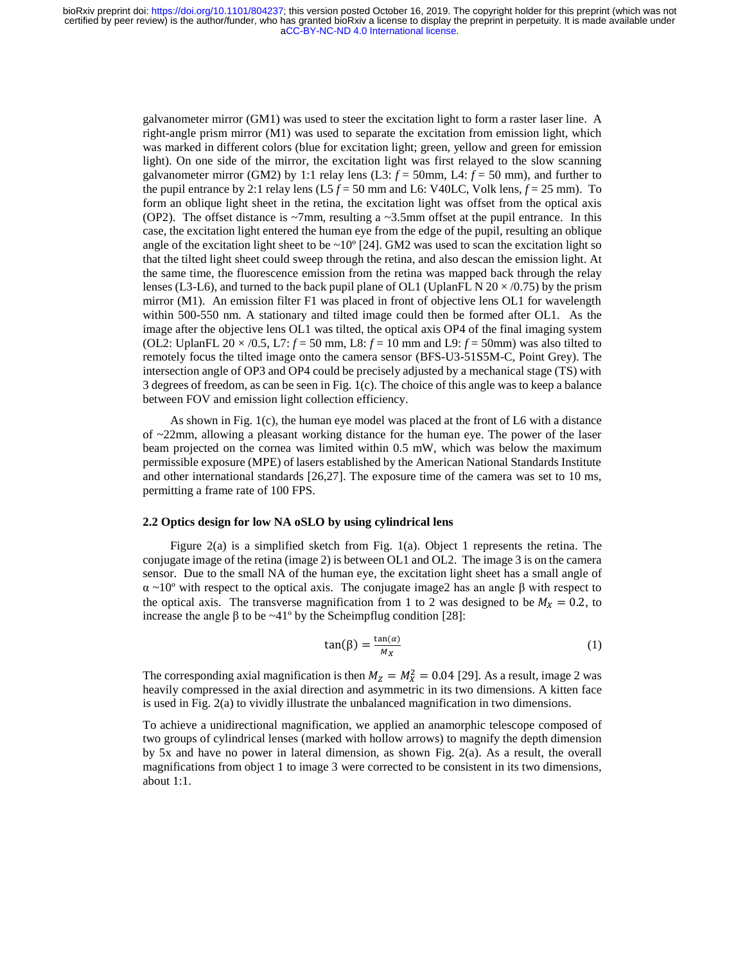galvanometer mirror (GM1) was used to steer the excitation light to form a raster laser line. A right-angle prism mirror (M1) was used to separate the excitation from emission light, which was marked in different colors (blue for excitation light; green, yellow and green for emission light). On one side of the mirror, the excitation light was first relayed to the slow scanning galvanometer mirror (GM2) by 1:1 relay lens (L3:  $f = 50$  mm, L4:  $f = 50$  mm), and further to the pupil entrance by 2:1 relay lens  $(L5 f = 50$  mm and L6: V40LC, Volk lens,  $f = 25$  mm). To form an oblique light sheet in the retina, the excitation light was offset from the optical axis (OP2). The offset distance is  $\sim$ 7mm, resulting a  $\sim$ 3.5mm offset at the pupil entrance. In this case, the excitation light entered the human eye from the edge of the pupil, resulting an oblique angle of the excitation light sheet to be  $\sim 10^{\circ}$  [24]. GM2 was used to scan the excitation light so that the tilted light sheet could sweep through the retina, and also descan the emission light. At the same time, the fluorescence emission from the retina was mapped back through the relay lenses (L3-L6), and turned to the back pupil plane of OL1 (UplanFL N  $20 \times (0.75)$  by the prism mirror (M1). An emission filter F1 was placed in front of objective lens OL1 for wavelength within 500-550 nm. A stationary and tilted image could then be formed after OL1. As the image after the objective lens OL1 was tilted, the optical axis OP4 of the final imaging system (OL2: UplanFL 20  $\times$  /0.5, L7:  $f = 50$  mm, L8:  $f = 10$  mm and L9:  $f = 50$ mm) was also tilted to remotely focus the tilted image onto the camera sensor (BFS-U3-51S5M-C, Point Grey). The intersection angle of OP3 and OP4 could be precisely adjusted by a mechanical stage (TS) with 3 degrees of freedom, as can be seen in Fig. 1(c). The choice of this angle was to keep a balance between FOV and emission light collection efficiency.

As shown in Fig.  $1(c)$ , the human eye model was placed at the front of L6 with a distance of ~22mm, allowing a pleasant working distance for the human eye. The power of the laser beam projected on the cornea was limited within 0.5 mW, which was below the maximum permissible exposure (MPE) of lasers established by the American National Standards Institute and other international standards [26,27]. The exposure time of the camera was set to 10 ms, permitting a frame rate of 100 FPS.

### **2.2 Optics design for low NA oSLO by using cylindrical lens**

Figure 2(a) is a simplified sketch from Fig. 1(a). Object 1 represents the retina. The conjugate image of the retina (image 2) is between OL1 and OL2. The image 3 is on the camera sensor. Due to the small NA of the human eye, the excitation light sheet has a small angle of  $\alpha$  ~10° with respect to the optical axis. The conjugate image2 has an angle β with respect to the optical axis. The transverse magnification from 1 to 2 was designed to be  $M_X = 0.2$ , to increase the angle β to be ~41º by the Scheimpflug condition [28]:

$$
\tan(\beta) = \frac{\tan(\alpha)}{M_X} \tag{1}
$$

The corresponding axial magnification is then  $M_Z = M_X^2 = 0.04$  [29]. As a result, image 2 was heavily compressed in the axial direction and asymmetric in its two dimensions. A kitten face is used in Fig. 2(a) to vividly illustrate the unbalanced magnification in two dimensions.

To achieve a unidirectional magnification, we applied an anamorphic telescope composed of two groups of cylindrical lenses (marked with hollow arrows) to magnify the depth dimension by 5x and have no power in lateral dimension, as shown Fig. 2(a). As a result, the overall magnifications from object 1 to image 3 were corrected to be consistent in its two dimensions, about 1:1.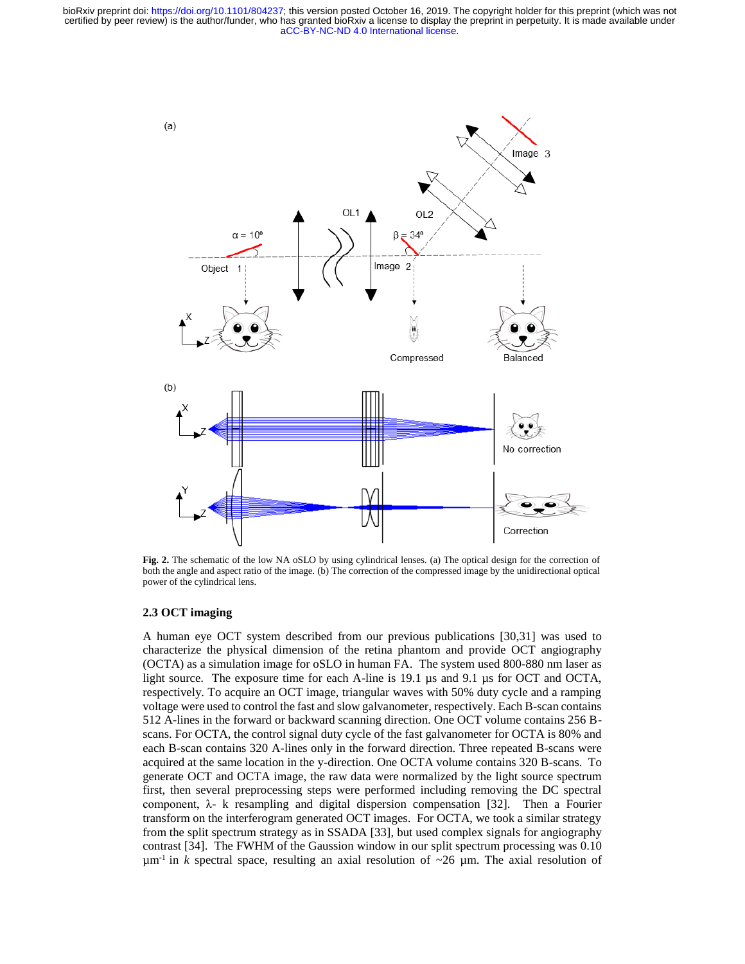[aCC-BY-NC-ND 4.0 International license.](http://creativecommons.org/licenses/by-nc-nd/4.0/) certified by peer review) is the author/funder, who has granted bioRxiv a license to display the preprint in perpetuity. It is made available under bioRxiv preprint doi: [https://doi.org/10.1101/804237;](https://doi.org/10.1101/804237) this version posted October 16, 2019. The copyright holder for this preprint (which was not



**Fig. 2.** The schematic of the low NA oSLO by using cylindrical lenses. (a) The optical design for the correction of both the angle and aspect ratio of the image. (b) The correction of the compressed image by the unidirectional optical power of the cylindrical lens.

## **2.3 OCT imaging**

A human eye OCT system described from our previous publications [30,31] was used to characterize the physical dimension of the retina phantom and provide OCT angiography (OCTA) as a simulation image for oSLO in human FA. The system used 800-880 nm laser as light source. The exposure time for each A-line is 19.1 µs and 9.1 µs for OCT and OCTA, respectively. To acquire an OCT image, triangular waves with 50% duty cycle and a ramping voltage were used to control the fast and slow galvanometer, respectively. Each B-scan contains 512 A-lines in the forward or backward scanning direction. One OCT volume contains 256 Bscans. For OCTA, the control signal duty cycle of the fast galvanometer for OCTA is 80% and each B-scan contains 320 A-lines only in the forward direction. Three repeated B-scans were acquired at the same location in the y-direction. One OCTA volume contains 320 B-scans. To generate OCT and OCTA image, the raw data were normalized by the light source spectrum first, then several preprocessing steps were performed including removing the DC spectral component,  $\lambda$ - k resampling and digital dispersion compensation [32]. Then a Fourier transform on the interferogram generated OCT images. For OCTA, we took a similar strategy from the split spectrum strategy as in SSADA [33], but used complex signals for angiography contrast [34]. The FWHM of the Gaussion window in our split spectrum processing was 0.10  $\mu$ m<sup>-1</sup> in *k* spectral space, resulting an axial resolution of ~26  $\mu$ m. The axial resolution of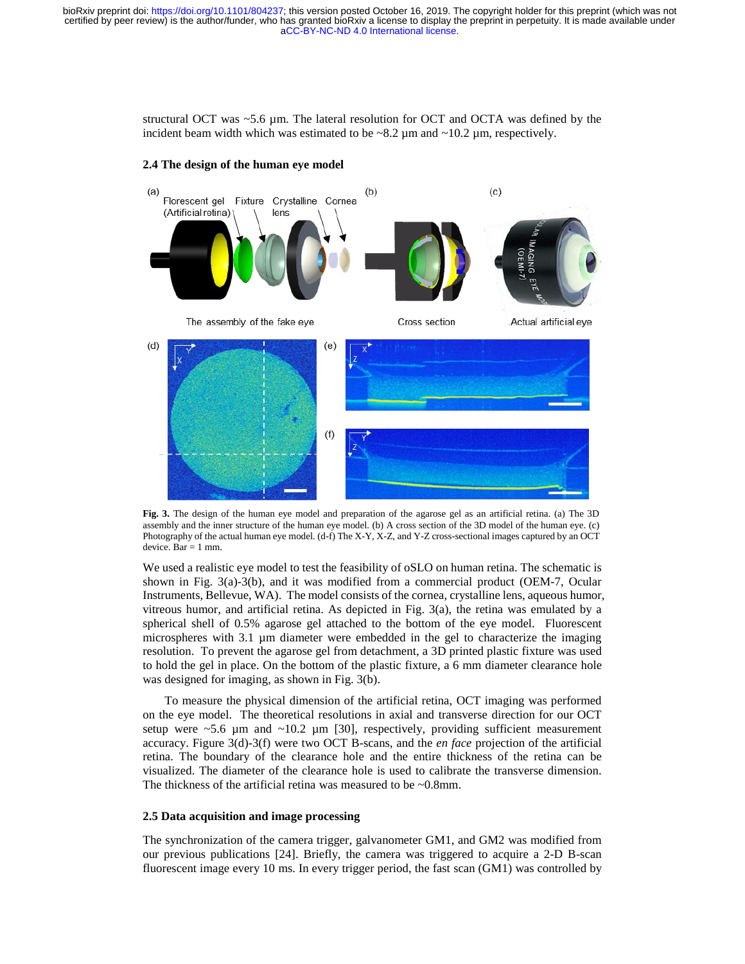structural OCT was  $\sim$  5.6 µm. The lateral resolution for OCT and OCTA was defined by the incident beam width which was estimated to be  $\sim$ 8.2  $\mu$ m and  $\sim$ 10.2  $\mu$ m, respectively.



## **2.4 The design of the human eye model**

**Fig. 3.** The design of the human eye model and preparation of the agarose gel as an artificial retina. (a) The 3D assembly and the inner structure of the human eye model. (b) A cross section of the 3D model of the human eye. (c) Photography of the actual human eye model. (d-f) The X-Y, X-Z, and Y-Z cross-sectional images captured by an OCT device. Bar  $= 1$  mm.

We used a realistic eye model to test the feasibility of oSLO on human retina. The schematic is shown in Fig. 3(a)-3(b), and it was modified from a commercial product (OEM-7, Ocular Instruments, Bellevue, WA). The model consists of the cornea, crystalline lens, aqueous humor, vitreous humor, and artificial retina. As depicted in Fig. 3(a), the retina was emulated by a spherical shell of 0.5% agarose gel attached to the bottom of the eye model. Fluorescent microspheres with 3.1 µm diameter were embedded in the gel to characterize the imaging resolution. To prevent the agarose gel from detachment, a 3D printed plastic fixture was used to hold the gel in place. On the bottom of the plastic fixture, a 6 mm diameter clearance hole was designed for imaging, as shown in Fig. 3(b).

To measure the physical dimension of the artificial retina, OCT imaging was performed on the eye model. The theoretical resolutions in axial and transverse direction for our OCT setup were  $\sim$  5.6 µm and  $\sim$  10.2 µm [30], respectively, providing sufficient measurement accuracy. Figure 3(d)-3(f) were two OCT B-scans, and the *en face* projection of the artificial retina. The boundary of the clearance hole and the entire thickness of the retina can be visualized. The diameter of the clearance hole is used to calibrate the transverse dimension. The thickness of the artificial retina was measured to be ~0.8mm.

## **2.5 Data acquisition and image processing**

The synchronization of the camera trigger, galvanometer GM1, and GM2 was modified from our previous publications [24]. Briefly, the camera was triggered to acquire a 2-D B-scan fluorescent image every 10 ms. In every trigger period, the fast scan (GM1) was controlled by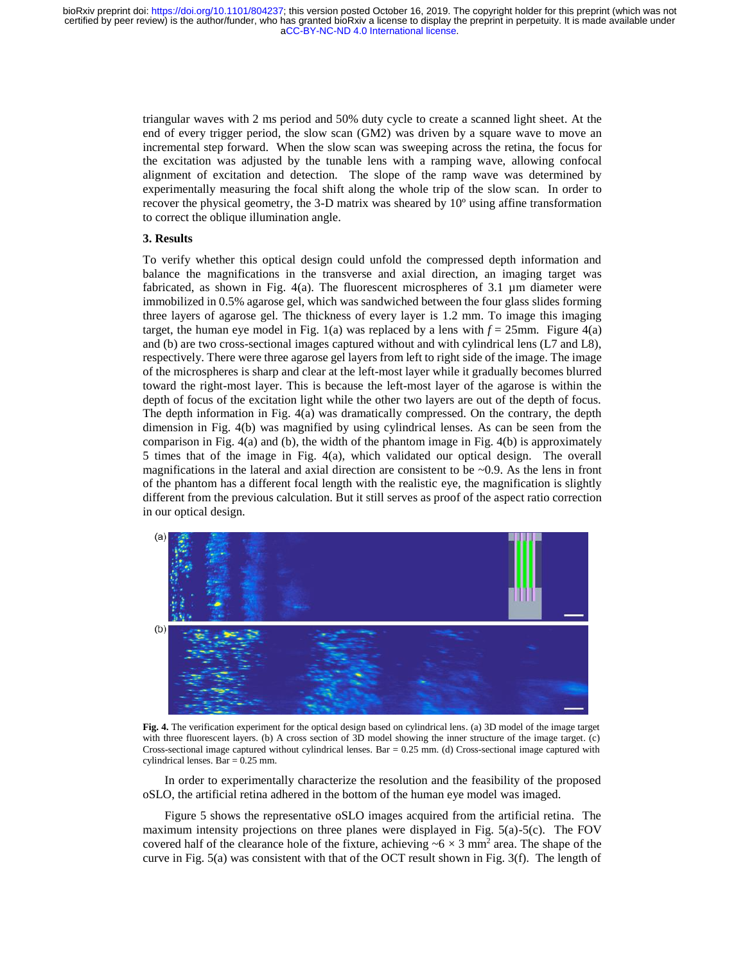triangular waves with 2 ms period and 50% duty cycle to create a scanned light sheet. At the end of every trigger period, the slow scan (GM2) was driven by a square wave to move an incremental step forward. When the slow scan was sweeping across the retina, the focus for the excitation was adjusted by the tunable lens with a ramping wave, allowing confocal alignment of excitation and detection. The slope of the ramp wave was determined by experimentally measuring the focal shift along the whole trip of the slow scan. In order to recover the physical geometry, the 3-D matrix was sheared by 10º using affine transformation to correct the oblique illumination angle.

## **3. Results**

To verify whether this optical design could unfold the compressed depth information and balance the magnifications in the transverse and axial direction, an imaging target was fabricated, as shown in Fig.  $4(a)$ . The fluorescent microspheres of 3.1  $\mu$ m diameter were immobilized in 0.5% agarose gel, which was sandwiched between the four glass slides forming three layers of agarose gel. The thickness of every layer is 1.2 mm. To image this imaging target, the human eye model in Fig. 1(a) was replaced by a lens with  $f = 25$ mm. Figure 4(a) and (b) are two cross-sectional images captured without and with cylindrical lens (L7 and L8), respectively. There were three agarose gel layers from left to right side of the image. The image of the microspheres is sharp and clear at the left-most layer while it gradually becomes blurred toward the right-most layer. This is because the left-most layer of the agarose is within the depth of focus of the excitation light while the other two layers are out of the depth of focus. The depth information in Fig. 4(a) was dramatically compressed. On the contrary, the depth dimension in Fig. 4(b) was magnified by using cylindrical lenses. As can be seen from the comparison in Fig. 4(a) and (b), the width of the phantom image in Fig. 4(b) is approximately 5 times that of the image in Fig. 4(a), which validated our optical design. The overall magnifications in the lateral and axial direction are consistent to be  $\sim 0.9$ . As the lens in front of the phantom has a different focal length with the realistic eye, the magnification is slightly different from the previous calculation. But it still serves as proof of the aspect ratio correction in our optical design.



**Fig. 4.** The verification experiment for the optical design based on cylindrical lens. (a) 3D model of the image target with three fluorescent layers. (b) A cross section of 3D model showing the inner structure of the image target. (c) Cross-sectional image captured without cylindrical lenses. Bar = 0.25 mm. (d) Cross-sectional image captured with cylindrical lenses. Bar = 0.25 mm.

In order to experimentally characterize the resolution and the feasibility of the proposed oSLO, the artificial retina adhered in the bottom of the human eye model was imaged.

Figure 5 shows the representative oSLO images acquired from the artificial retina. The maximum intensity projections on three planes were displayed in Fig.  $5(a)-5(c)$ . The FOV covered half of the clearance hole of the fixture, achieving  $\sim 6 \times 3$  mm<sup>2</sup> area. The shape of the curve in Fig. 5(a) was consistent with that of the OCT result shown in Fig. 3(f). The length of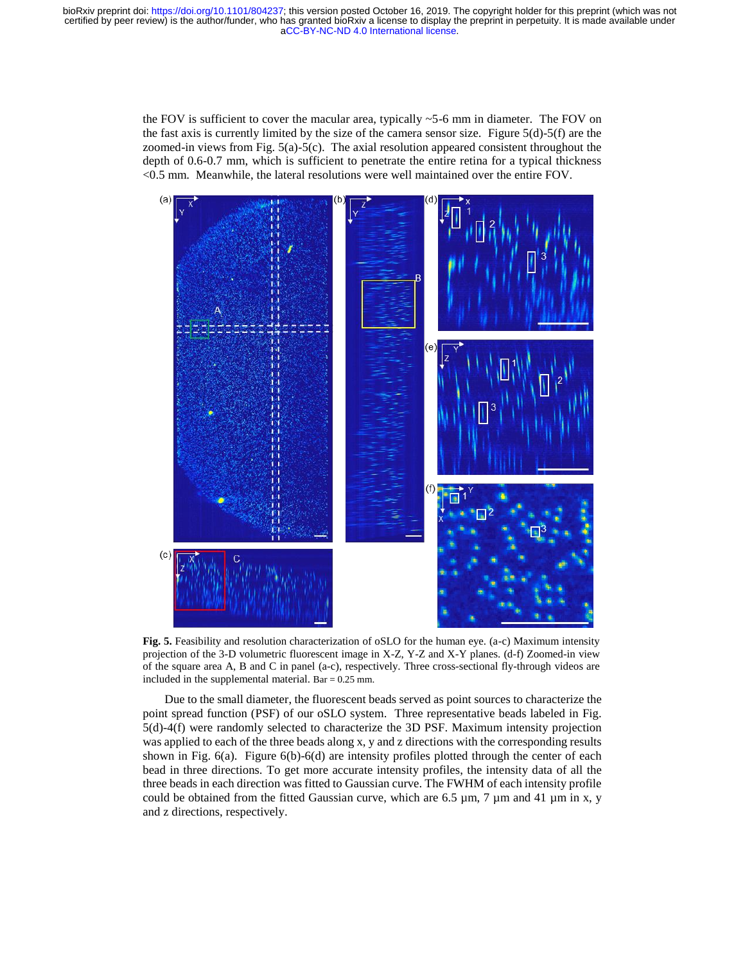[aCC-BY-NC-ND 4.0 International license.](http://creativecommons.org/licenses/by-nc-nd/4.0/) certified by peer review) is the author/funder, who has granted bioRxiv a license to display the preprint in perpetuity. It is made available under bioRxiv preprint doi: [https://doi.org/10.1101/804237;](https://doi.org/10.1101/804237) this version posted October 16, 2019. The copyright holder for this preprint (which was not

> the FOV is sufficient to cover the macular area, typically  $\sim$  5-6 mm in diameter. The FOV on the fast axis is currently limited by the size of the camera sensor size. Figure  $5(d)-5(f)$  are the zoomed-in views from Fig. 5(a)-5(c). The axial resolution appeared consistent throughout the depth of 0.6-0.7 mm, which is sufficient to penetrate the entire retina for a typical thickness <0.5 mm. Meanwhile, the lateral resolutions were well maintained over the entire FOV.



**Fig. 5.** Feasibility and resolution characterization of oSLO for the human eye. (a-c) Maximum intensity projection of the 3-D volumetric fluorescent image in X-Z, Y-Z and X-Y planes. (d-f) Zoomed-in view of the square area A, B and C in panel (a-c), respectively. Three cross-sectional fly-through videos are included in the supplemental material. Bar =  $0.25$  mm.

Due to the small diameter, the fluorescent beads served as point sources to characterize the point spread function (PSF) of our oSLO system. Three representative beads labeled in Fig. 5(d)-4(f) were randomly selected to characterize the 3D PSF. Maximum intensity projection was applied to each of the three beads along x, y and z directions with the corresponding results shown in Fig. 6(a). Figure 6(b)-6(d) are intensity profiles plotted through the center of each bead in three directions. To get more accurate intensity profiles, the intensity data of all the three beads in each direction was fitted to Gaussian curve. The FWHM of each intensity profile could be obtained from the fitted Gaussian curve, which are 6.5  $\mu$ m, 7  $\mu$ m and 41  $\mu$ m in x, y and z directions, respectively.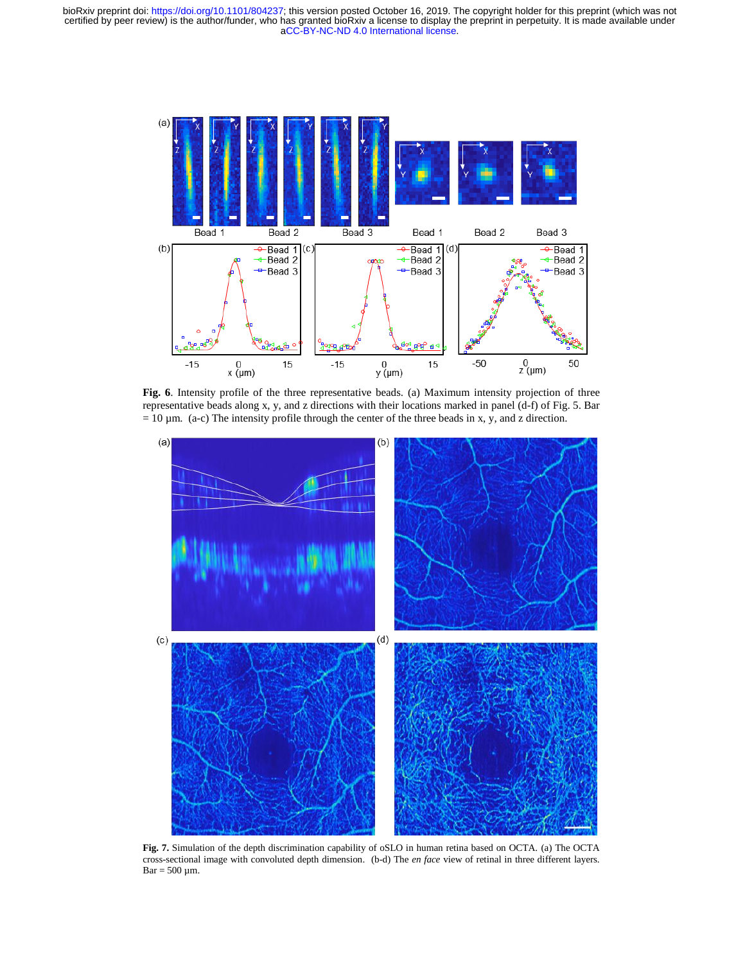[aCC-BY-NC-ND 4.0 International license.](http://creativecommons.org/licenses/by-nc-nd/4.0/) certified by peer review) is the author/funder, who has granted bioRxiv a license to display the preprint in perpetuity. It is made available under bioRxiv preprint doi: [https://doi.org/10.1101/804237;](https://doi.org/10.1101/804237) this version posted October 16, 2019. The copyright holder for this preprint (which was not



**Fig. 6**. Intensity profile of the three representative beads. (a) Maximum intensity projection of three representative beads along x, y, and z directions with their locations marked in panel (d-f) of Fig. 5. Bar  $= 10 \mu m$ . (a-c) The intensity profile through the center of the three beads in x, y, and z direction.



**Fig. 7.** Simulation of the depth discrimination capability of oSLO in human retina based on OCTA. (a) The OCTA cross-sectional image with convoluted depth dimension. (b-d) The *en face* view of retinal in three different layers.  $Bar = 500 \mu m$ .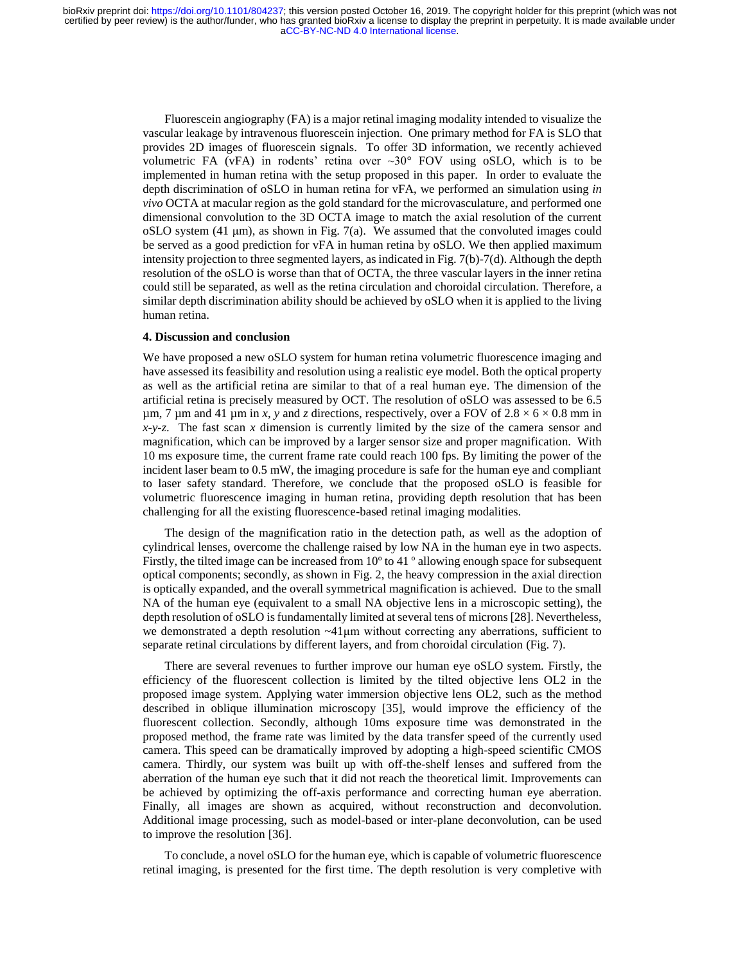Fluorescein angiography (FA) is a major retinal imaging modality intended to visualize the vascular leakage by intravenous fluorescein injection. One primary method for FA is SLO that provides 2D images of fluorescein signals. To offer 3D information, we recently achieved volumetric FA (vFA) in rodents' retina over  $\sim 30^{\circ}$  FOV using oSLO, which is to be implemented in human retina with the setup proposed in this paper. In order to evaluate the depth discrimination of oSLO in human retina for vFA, we performed an simulation using *in vivo* OCTA at macular region as the gold standard for the microvasculature, and performed one dimensional convolution to the 3D OCTA image to match the axial resolution of the current oSLO system  $(41 \mu m)$ , as shown in Fig. 7(a). We assumed that the convoluted images could be served as a good prediction for vFA in human retina by oSLO. We then applied maximum intensity projection to three segmented layers, as indicated in Fig. 7(b)-7(d). Although the depth resolution of the oSLO is worse than that of OCTA, the three vascular layers in the inner retina could still be separated, as well as the retina circulation and choroidal circulation. Therefore, a similar depth discrimination ability should be achieved by oSLO when it is applied to the living human retina.

### **4. Discussion and conclusion**

We have proposed a new oSLO system for human retina volumetric fluorescence imaging and have assessed its feasibility and resolution using a realistic eye model. Both the optical property as well as the artificial retina are similar to that of a real human eye. The dimension of the artificial retina is precisely measured by OCT. The resolution of oSLO was assessed to be 6.5  $\mu$ m, 7  $\mu$ m and 41  $\mu$ m in *x*, *y* and *z* directions, respectively, over a FOV of 2.8  $\times$  6  $\times$  0.8 mm in *x-y-z*. The fast scan *x* dimension is currently limited by the size of the camera sensor and magnification, which can be improved by a larger sensor size and proper magnification. With 10 ms exposure time, the current frame rate could reach 100 fps. By limiting the power of the incident laser beam to 0.5 mW, the imaging procedure is safe for the human eye and compliant to laser safety standard. Therefore, we conclude that the proposed oSLO is feasible for volumetric fluorescence imaging in human retina, providing depth resolution that has been challenging for all the existing fluorescence-based retinal imaging modalities.

The design of the magnification ratio in the detection path, as well as the adoption of cylindrical lenses, overcome the challenge raised by low NA in the human eye in two aspects. Firstly, the tilted image can be increased from 10º to 41 º allowing enough space for subsequent optical components; secondly, as shown in Fig. 2, the heavy compression in the axial direction is optically expanded, and the overall symmetrical magnification is achieved. Due to the small NA of the human eye (equivalent to a small NA objective lens in a microscopic setting), the depth resolution of oSLO is fundamentally limited at several tens of microns [28]. Nevertheless, we demonstrated a depth resolution  $\sim$ 41 $\mu$ m without correcting any aberrations, sufficient to separate retinal circulations by different layers, and from choroidal circulation (Fig. 7).

There are several revenues to further improve our human eye oSLO system. Firstly, the efficiency of the fluorescent collection is limited by the tilted objective lens OL2 in the proposed image system. Applying water immersion objective lens OL2, such as the method described in oblique illumination microscopy [35], would improve the efficiency of the fluorescent collection. Secondly, although 10ms exposure time was demonstrated in the proposed method, the frame rate was limited by the data transfer speed of the currently used camera. This speed can be dramatically improved by adopting a high-speed scientific CMOS camera. Thirdly, our system was built up with off-the-shelf lenses and suffered from the aberration of the human eye such that it did not reach the theoretical limit. Improvements can be achieved by optimizing the off-axis performance and correcting human eye aberration. Finally, all images are shown as acquired, without reconstruction and deconvolution. Additional image processing, such as model-based or inter-plane deconvolution, can be used to improve the resolution [36].

To conclude, a novel oSLO for the human eye, which is capable of volumetric fluorescence retinal imaging, is presented for the first time. The depth resolution is very completive with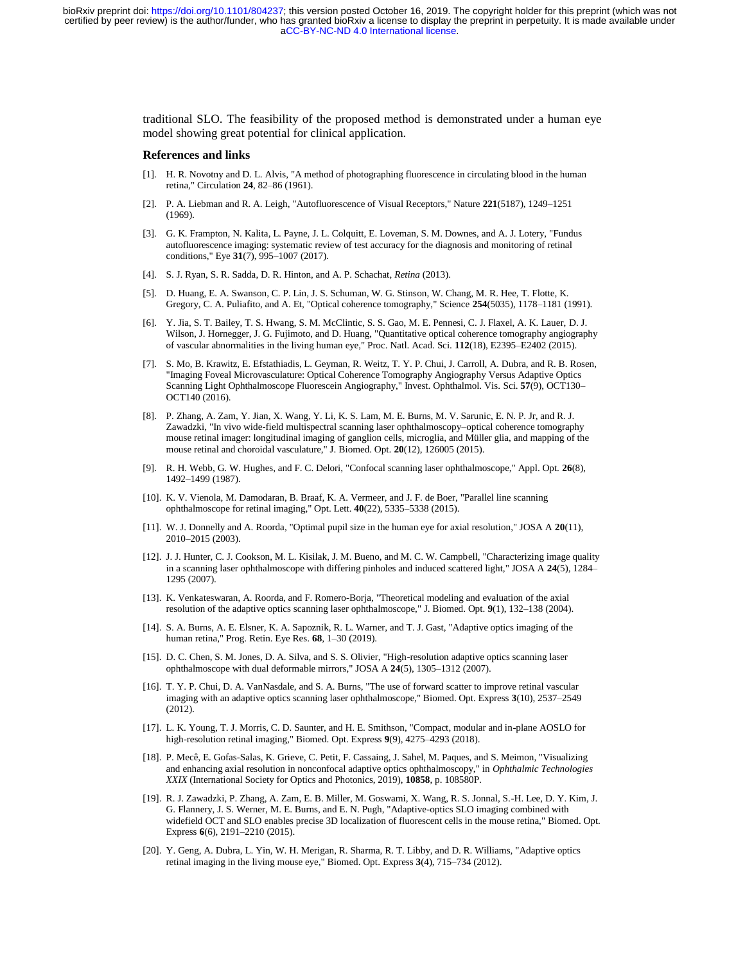traditional SLO. The feasibility of the proposed method is demonstrated under a human eye model showing great potential for clinical application.

#### **References and links**

- [1]. H. R. Novotny and D. L. Alvis, "A method of photographing fluorescence in circulating blood in the human retina," Circulation **24**, 82–86 (1961).
- [2]. P. A. Liebman and R. A. Leigh, "Autofluorescence of Visual Receptors," Nature **221**(5187), 1249–1251 (1969).
- [3]. G. K. Frampton, N. Kalita, L. Payne, J. L. Colquitt, E. Loveman, S. M. Downes, and A. J. Lotery, "Fundus autofluorescence imaging: systematic review of test accuracy for the diagnosis and monitoring of retinal conditions," Eye **31**(7), 995–1007 (2017).
- [4]. S. J. Ryan, S. R. Sadda, D. R. Hinton, and A. P. Schachat, *Retina* (2013).
- [5]. D. Huang, E. A. Swanson, C. P. Lin, J. S. Schuman, W. G. Stinson, W. Chang, M. R. Hee, T. Flotte, K. Gregory, C. A. Puliafito, and A. Et, "Optical coherence tomography," Science **254**(5035), 1178–1181 (1991).
- [6]. Y. Jia, S. T. Bailey, T. S. Hwang, S. M. McClintic, S. S. Gao, M. E. Pennesi, C. J. Flaxel, A. K. Lauer, D. J. Wilson, J. Hornegger, J. G. Fujimoto, and D. Huang, "Quantitative optical coherence tomography angiography of vascular abnormalities in the living human eye," Proc. Natl. Acad. Sci. **112**(18), E2395–E2402 (2015).
- [7]. S. Mo, B. Krawitz, E. Efstathiadis, L. Geyman, R. Weitz, T. Y. P. Chui, J. Carroll, A. Dubra, and R. B. Rosen, "Imaging Foveal Microvasculature: Optical Coherence Tomography Angiography Versus Adaptive Optics Scanning Light Ophthalmoscope Fluorescein Angiography," Invest. Ophthalmol. Vis. Sci. **57**(9), OCT130– OCT140 (2016).
- [8]. P. Zhang, A. Zam, Y. Jian, X. Wang, Y. Li, K. S. Lam, M. E. Burns, M. V. Sarunic, E. N. P. Jr, and R. J. Zawadzki, "In vivo wide-field multispectral scanning laser ophthalmoscopy–optical coherence tomography mouse retinal imager: longitudinal imaging of ganglion cells, microglia, and Müller glia, and mapping of the mouse retinal and choroidal vasculature," J. Biomed. Opt. **20**(12), 126005 (2015).
- [9]. R. H. Webb, G. W. Hughes, and F. C. Delori, "Confocal scanning laser ophthalmoscope," Appl. Opt. **26**(8), 1492–1499 (1987).
- [10]. K. V. Vienola, M. Damodaran, B. Braaf, K. A. Vermeer, and J. F. de Boer, "Parallel line scanning ophthalmoscope for retinal imaging," Opt. Lett. **40**(22), 5335–5338 (2015).
- [11]. W. J. Donnelly and A. Roorda, "Optimal pupil size in the human eye for axial resolution," JOSA A **20**(11), 2010–2015 (2003).
- [12]. J. J. Hunter, C. J. Cookson, M. L. Kisilak, J. M. Bueno, and M. C. W. Campbell, "Characterizing image quality in a scanning laser ophthalmoscope with differing pinholes and induced scattered light," JOSA A **24**(5), 1284– 1295 (2007).
- [13]. K. Venkateswaran, A. Roorda, and F. Romero-Borja, "Theoretical modeling and evaluation of the axial resolution of the adaptive optics scanning laser ophthalmoscope," J. Biomed. Opt. **9**(1), 132–138 (2004).
- [14]. S. A. Burns, A. E. Elsner, K. A. Sapoznik, R. L. Warner, and T. J. Gast, "Adaptive optics imaging of the human retina," Prog. Retin. Eye Res. **68**, 1–30 (2019).
- [15]. D. C. Chen, S. M. Jones, D. A. Silva, and S. S. Olivier, "High-resolution adaptive optics scanning laser ophthalmoscope with dual deformable mirrors," JOSA A **24**(5), 1305–1312 (2007).
- [16]. T. Y. P. Chui, D. A. VanNasdale, and S. A. Burns, "The use of forward scatter to improve retinal vascular imaging with an adaptive optics scanning laser ophthalmoscope," Biomed. Opt. Express **3**(10), 2537–2549 (2012).
- [17]. L. K. Young, T. J. Morris, C. D. Saunter, and H. E. Smithson, "Compact, modular and in-plane AOSLO for high-resolution retinal imaging," Biomed. Opt. Express **9**(9), 4275–4293 (2018).
- [18]. P. Mecê, E. Gofas-Salas, K. Grieve, C. Petit, F. Cassaing, J. Sahel, M. Paques, and S. Meimon, "Visualizing and enhancing axial resolution in nonconfocal adaptive optics ophthalmoscopy," in *Ophthalmic Technologies XXIX* (International Society for Optics and Photonics, 2019), **10858**, p. 108580P.
- [19]. R. J. Zawadzki, P. Zhang, A. Zam, E. B. Miller, M. Goswami, X. Wang, R. S. Jonnal, S.-H. Lee, D. Y. Kim, J. G. Flannery, J. S. Werner, M. E. Burns, and E. N. Pugh, "Adaptive-optics SLO imaging combined with widefield OCT and SLO enables precise 3D localization of fluorescent cells in the mouse retina," Biomed. Opt. Express **6**(6), 2191–2210 (2015).
- [20]. Y. Geng, A. Dubra, L. Yin, W. H. Merigan, R. Sharma, R. T. Libby, and D. R. Williams, "Adaptive optics retinal imaging in the living mouse eye," Biomed. Opt. Express **3**(4), 715–734 (2012).